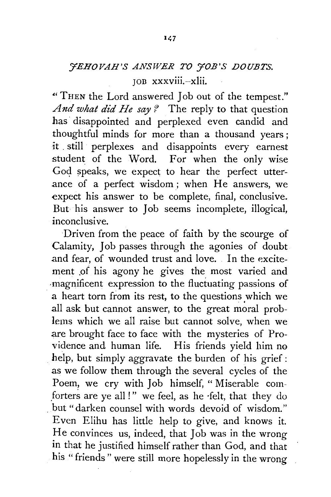## *YEHOVAH'S ANSWER TO YOB'S DOUBTS.*  JOD xxxviii.--xlii.

•• THEN the Lord answered Job out of the tempest." *And what did He say?* The reply to that question has· disappointed and perplexed even candid and thoughtful minds for more than a thousand years ; it . still perplexes and disappoints every earnest student of the Word. For when the only wise God speaks, we expect to hear the perfect utterance of a perfect wisdom; when He answers, we expect his answer to be complete, final, conclusive. But his answer to Job seems incomplete, illogical, inconclusive.

Driven from the peace of faith by the scourge of Calamity, Job passes through the agonies of doubt and fear, of wounded trust and love. In the excitement of his agony he gives the most varied and ·magnificent expression to the fluctuating passions of a heart torn from its rest, to the questions which we .all ask but cannot answer, to the great moral problems which we all raise but cannot solve, when we are brought face to face with the mysteries of Providence and human life. His friends yield him no help, but simply aggravate the burden of his grief: as we follow them through the several cycles of the Poem, we cry with Job himself, " Miserable com forters are ye all !" we feel, as he felt, that they do but" darken counsel with words devoid of wisdom." Even Elihu has little help to give, and knows it. He convinces us, indeed, that Job was in the wrong in that he justified himself rather than God, and that his "friends" were still more hopelessly in the wrong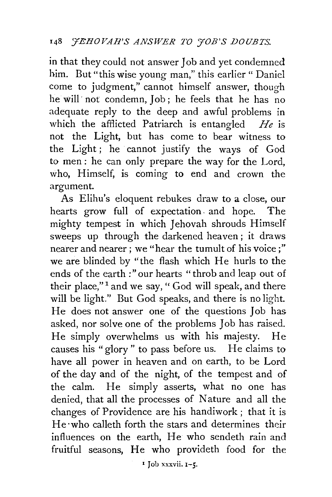in that they could not answer Job and yet condemned him. But "this wise young man," this earlier "Daniel come to judgment," cannot himself answer, though he will· not condemn, Job ; he feels that he has no adequate reply to the deep and awful problems in which the afflicted Patriarch is entangled *He* is not the Light, but has come to bear witness to the Light; he cannot justify the ways of God to men : he can only prepare the way for the Lord, who, Himself, is coming to end and crown the argument.

As Elihu's eloquent rebukes draw to a close, our hearts grow full of expectation. and hope. The mighty tempest in which Jehovah shrouds Himself sweeps up through the darkened heaven; it draws nearer and nearer; we "hear the tumult of his voice;" we are blinded by "the flash which He hurls to the ends of the earth :"our hearts "throb and leap out of their place,"<sup>1</sup> and we say, " God will speak, and there will be light." But God speaks, and there is no light. He does not answer one of the questions Job has asked, nor solve one of the problems Job has raised. He simply overwhelms us with his majesty. He causes his "glory" to pass before us. He claims to have all power in heaven and on earth, to be Lord of the day and of the night, of the tempest and of the calm. He simply asserts, what no one has denied, that all the processes of Nature and all the changes of Providence are his handiwork ; that it is He·who calleth forth the stars and determines their influences on the earth, He who sendeth rain and fruitful seasons, He who provideth food for the

 $1$  Job xxxvii.  $1-5$ .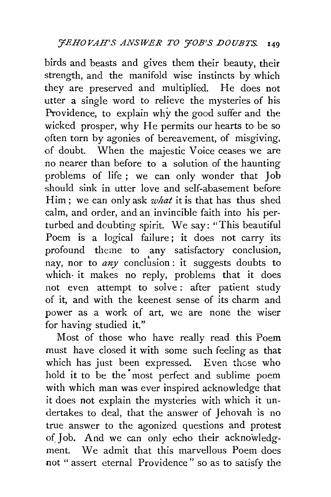birds and beasts and gives them their beauty, their strength, and the manifold wise instincts by which they are preserved and multiplied. He does not utter a single word to relieve the mysteries of his Providence, to explain why the good suffer and the wicked prosper, why He permits our hearts to be so often torn by agonies of bereavement, of misgiving, of doubt. When the majestic Voice ceases we are no nearer than before to a solution of the haunting problems of life ; we can only wonder that Job should sink in utter love and self-abasement before Him; we can only ask *what* it is that has thus shed calm, and order, and an invincible faith into his perturbed and doubting spirit. We say: "This beautiful Poem is a logical failure; it does not carry its profound theme to any satisfactory conclusion, nay, nor to  $any$  conclusion : it suggests doubts to which· it makes no reply, problems that it does not even attempt to solve : after patient study of it, and with the keenest sense of its charm and power as a work of art, we are none the wiser for having studied it."

Most of. those who have really read this Poem must have closed it with some such feeling as that which has just been expressed. Even those who hold it to be the most perfect and sublime poem with which man was ever inspired acknowledge that it does not explain the mysteries with which it undertakes to deal, that the answer of Jehovah is no true answer to the agonized questions and protest of Job. And we can only echo their acknowledgment. We admit that this marvellous Poem does not " assert eternal Providence" so as to satisfy the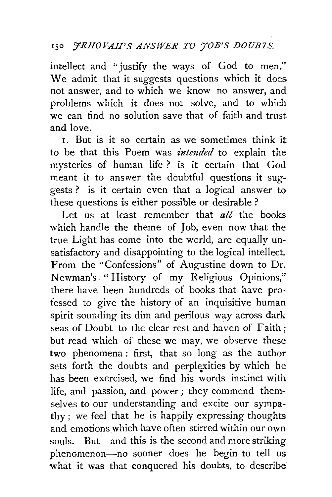intellect and "justify the ways of God to men.'' We admit that it suggests questions which it does. not answer, and to which we know no answer, and problems which it does not solve, and to which we can find no solution save that of faith and trust and love.

1. But is it so certain as we sometimes think it to be that this Poem was *intended* to explain the mysteries of human life ? is it certain that God meant it to answer the doubtful questions it suggests ? is it certain even that a logical answer to these questions is either possible or desirable ?

Let us at least remember that *all* the books which handle the theme of Job, even now that the true Light has come into the world, are equally unsatisfactory and disappointing to the logical intellect. From the "Confessions" of Augustine down to Dr. Newman's "History of my Religious Opinions;'' there have been hundreds of books that have professed to give the history of an inquisitive human spirit sounding its dim and perilous way across dark seas of Doubt to the clear rest and haven of Faith; but read which of these we may, we observe these two phenomena : first, that so long as the author sets forth the doubts and perplexities by which he has been exercised, we find his words instinct with life, and passion, and power ; they commend themselves to our understanding and excite our sympathy ; we feel that he is happily expressing thoughts and emotions which have often stirred within our own souls. But—and this is the second and more striking phenomenon-no sooner does he begin to tell us what it was that conquered his doubts. to describe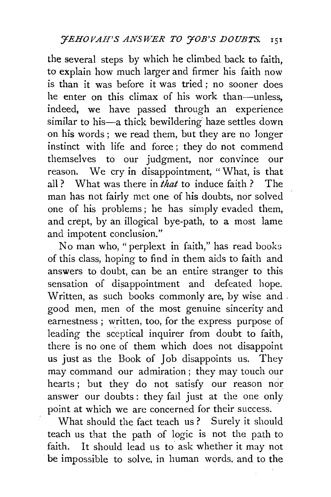the several steps by which he climbed back to faith, to explain how much larger and firmer his faith now is than it was before it was tried; no sooner does he enter on this climax of his work than-unless, indeed, we have passed through an experience similar to his-a thick bewildering haze settles down on his words ; we read them, but they are no longer instinct with life and force ; they do not commend themselves to our judgment, nor convince our reason. We cry in disappointment, " What, is that all ? What was there in *that* to induce faith ? The man has not fairly met one of his doubts, nor solved one of his problems; he has simply evaded them, and crept, by an illogical bye-path, to a most lame and impotent conclusion."

No man who," perplext in faith," has read books of this class, hoping to find in them aids to faith and answers to doubt, can be an entire stranger to this sensation of disappointment and defeated hope. Written, as such books commonly are, by wise and . good men, men of the most genuine sincerity and earnestness ; written, too, for the express purpose of leading the sceptical inquirer from doubt to faith, there is no one of them which does not disappoint us just as the Book of Job disappoints us. They may command our admiration ; they may touch our hearts ; but they do not satisfy our reason nor answer our doubts: they fail just at the one only point at which we are concerned for their success.

What should the fact teach us? Surely it should teach us that the path of logic is not the path to faith. It should lead us to ask whether it may not be impossible to solve, in human words. and to the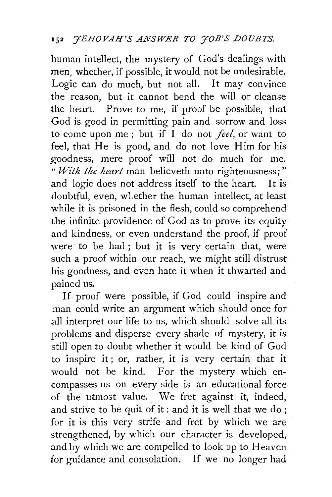human intellect, the mystery of God's dealings with men, whether, if possible, it would not be undesirable. Logic can do much, but not all. It may convince the reason, but it cannot bend the will or cleanse the heart. Prove to me, if proof be possible, that God is good in permitting pain and sorrow and loss to come upon me; but if I do not *feel*, or want to feel, that He is good, and do not love Him for his goodness, mere proof will not do much for me. " *With the heart* man believeth unto righteousness;" and logic does not address itself to the heart. It is doubtful, even, wLether the human intellect, at least while it is prisoned in the flesh, could so comprehend the infinite providence of God as to prove its equity and kindness, or even understand the proof, if proof were to be had ; but it is very certain that, were such a proof within our reach, we might still distrust his goodness, and even hate it when it thwarted and pained us.

If proof were possible, if God could inspire and man could write an argument which should once for all interpret our life to us, which should solve all its problems and disperse every shade of mystery, it is still open to doubt whether it would be kind of God *to* inspire it ; or, rather, it is very certain that it would not be kind. For the mystery which encompasses us on every side is an educational force of the utmost value. We fret against it, indeed, and strive to be quit of it : and it is well that we do ; for it is this very strife and fret by which we are strengthened, by which our character is developed, and by which we are compelled to look up to Heaven for guidance and consolation. If we no longer had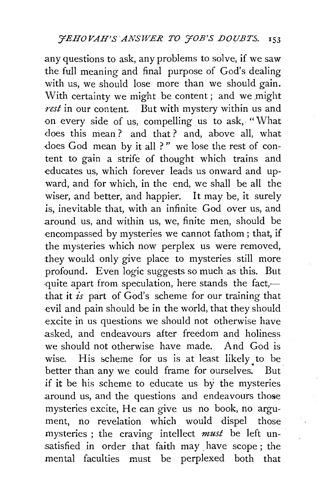any questions to ask, any problems to solve, if we saw the full meaning and final purpose of God's dealing with us, we should lose more than we should gain. With certainty we might be content; and we might *rest* in our content. But with mystery within us and on every side of us, compelling us to ask, "What does this mean ? and that ? and, above all, what does God mean by it all ?" we lose the rest of content to gain a strife of thought which trains and educates us, which forever leads us onward and upward, and for which, in the end, we shall be all the wiser, and better, and happier. It may be, it surely is, inevitable that, with an infinite God over us, and around us, and within us, we, finite men, should be encompassed by mysteries we cannot fathom ; that, if the mysteries which now perplex us were removed, they would only give place to mysteries still more profound. Even logic suggests so much as this. But quite apart from speculation, here stands the fact,— .that it *is* part of God's scheme for our training that evil and pain should be in the world, that they should excite in us questions we should not otherwise have asked, and endeavours after freedom and holiness we should not otherwise have made. And God is wise. His scheme for us is at least likely to be better than any we could frame for ourselves. But if it be his scheme to educate us by the mysteries .around us, and the questions and endeavours those mysteries excite, He can give us no book, no argument, no revelation which would dispel those mysteries ; the craving intellect *must* be left unsatisfied in order that faith may have scope; the mental faculties must be perplexed both that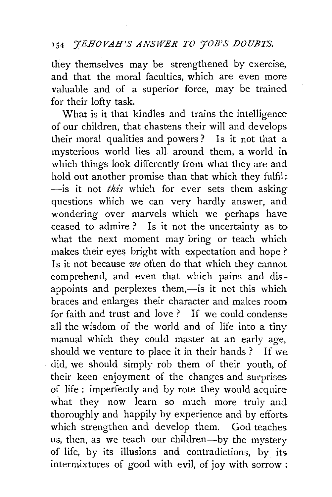they themselves may be strengthened by exercise, and that the moral faculties, which are even more valuable and of a superior force, may be trained for their lofty task.

What is it that kindles and trains the intelligence of our children, that chastens their will and develops their moral qualities and powers? Is it not that a mysterious world lies all around them, a world in which things look differently from what they are and hold out another promise than that which they fulfil: -is it not *this* which for ever sets them asking questions which we can very hardly answer, and wondering over marvels which we perhaps have ceased to admire? Is it not the uncertainty as to what the next moment may bring or teach which makes their eyes bright with expectation and hope ? Is it not because *we* often do that which they cannot comprehend, and even that which pains and disappoints and perplexes them,—is it not this which braces and enlarges their character and makes room for faith and trust and love ? If we could condense all the wisdom of the world and of life into a tiny manual which they could master at an early age, should we venture to place it in their hands ? If we did, we should simply rob them of their youth, of their keen enjoyment of the changes and surprises of life: imperfectly and by rote they would acquire what they now learn so much more truly and thoroughly and happily by experience and by efforts which strengthen and develop them. God teaches us, then, as we teach our children-by the mystery of life, by its illusions and contradictions, by its intermixtures of good with evil, of joy with sorrow ;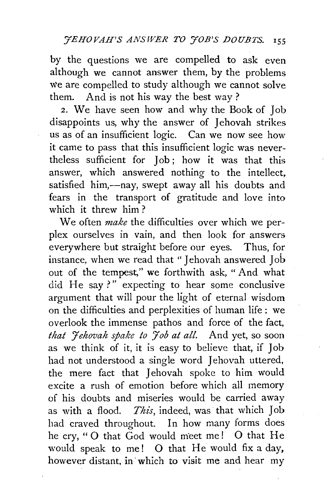by the questions we are compelled to ask even although we cannot answer them, by the problems we are compelled to study although we cannot solve them. And is not his way the best way ?

2. We have seen how and why the Book of Job disappoints us, why the answer of Jehovah strikes us as of an insufficient logic. Can we now see how it came to pass that this insufficient logic was nevertheless sufficient for Job; how it was that this answer, which answered nothing to the intellect, satisfied him,--nay, swept away all his doubts and fears in the transport of gratitude and love into which it threw him ?

We often *make* the difficulties over which we perplex ourselves in vain, and then look for answers everywhere but straight before our eyes. Thus, for instance, when we read that "Jehovah answered Job out of the tempest," we forthwith ask, " And what did He say?" expecting to hear some conclusive argument that will pour the light of eternal wisdom on the difficulties and perplexities of human life : we overlook the immense pathos and force of the fact, *that 'Yehovah spake to 'Yob at all.* And yet, so soon as we think of it, it is easy to believe that, if Job had not understood a single word Jehovah uttered, the mere fact that Jehovah spoke to him would excite a rush of emotion before which all memory of his doubts and miseries would be carried away as with a flood. *This*, indeed, was that which Job had craved throughout. In how many forms does he cry, "O that God would meet me! O that He would speak to me! 0 that He would fix a day, however distant, in which to visit me and hear my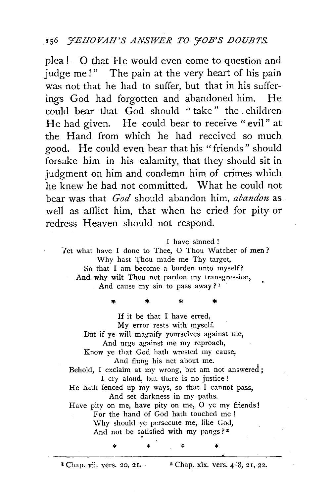plea! 0 that He would even come to question and judge me!" The pain at the very heart of his pain was not that he had to suffer, but that in his sufferings God had forgotten and abandoned him. He could bear that God should "take" the children He had given. He could bear to receive "evil" at the Hand from which he had received so much good. He could even bear that his "friends" should forsake him in his calamity, that they should sit in judgment on him and condemn him of crimes which he knew he had not committed. What he could not bear was that *God* should abandon him, *abandon* as well as afflict him, that when he cried for pity or redress Heaven should not respond.

I have sinned!

Tet what have I done to Thee, O Thou Watcher of men? Why hast Thou made me Thy target, So that I am become a burden unto myself? And why wilt Thou not pardon my transgression, And cause my sin to pass away?<sup>1</sup>

\* \* \* If it be that I have erred, My error rests with myself. But if ye will magnify yourselves against me, And urge against me my reproach, Know ye that God hath wrested my cause, And flung his net about me. Behold, I exclaim at my wrong, but am not answered; I cry aloud, but there is no justice ! He hath fenced up my ways, so that I cannot pass, And set darkness in my paths. Have pity on me, have pity on me, 0 ye my friends! For the hand of God hath touched me! Why should ye persecute me, like God, And not be satisfied with my pangs?<sup>2</sup>

\* \* \*

 $2$  Chap. vii. vers. 20, 21.  $2$  Chap. xix. vers. 4-8, 21, 22.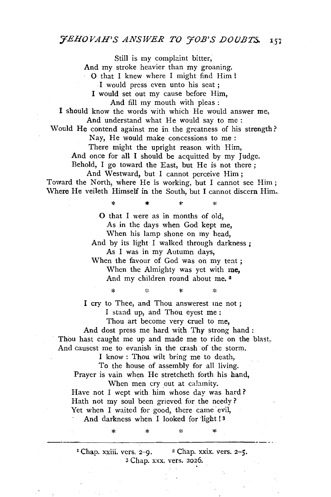Still is my complaint bitter, And my stroke heavier than my groaning. 0 that I knew where I might find Him ! I would press even unto his seat ; I would set out my cause before Him, And fill my mouth with pleas : I should know the words with which He would answer me, And understand what He would say to me : Would He contend against me in the greatness of his strength ? Nay, He would make concessions to me : There might the upright reason with Him, And once for all I should be acquitted by my Judge. Behold, I go toward the East, but He is not there ; And Westward, but I cannot perceive Him; Toward the North, where He is working, but I cannot see Him; Where He veileth Himself in the South, but I cannot discern Him... \* \* \* 0 that I were as in months of old, As in the days when God kept me, When his lamp shone on my head, And by its light I walked through darkness ; As I was in my Autumn days, When the favour of God was on my tent ; When the Almighty was yet with me, And my children round about me.<sup>2</sup> ż \* \* I cry to Thee, and Thou answerest me not ; I stand up, and Thou eyest me : Thou art become very cruel to me, And dost press me hard with Thy strong hand : Thou hast caught me up and made me to ride on the blast. And causest me to evanish in the crash of the storm. I know : Thou wilt bring me to death,

To the house of assembly for all living. Prayer is vain when He stretcheth forth his hand, When men cry out at calamity.

Have not I wept with him whose day was hard? Hath not my soul been grieved for the needy? Yet when I waited for good, there came evil, And darkness when I looked for light !<sup>3</sup>

\* \*

<sup>1</sup> Chap. xxiii. vers.  $2-9$ . <sup>2</sup> Chap. xxix. vers.  $2-5$ . 3 Chap. xxx. vets. 2026.

 $\mathbf{R}$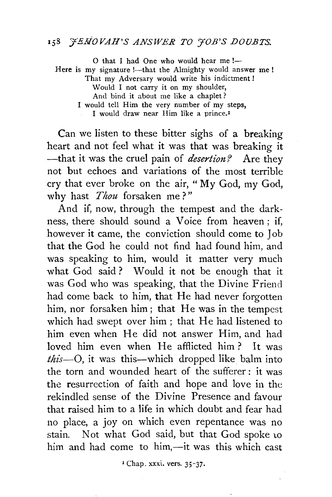## 158 *FEROVAH'S ANSWER TO 70B'S DOUBTS.*

O that I had One who would hear me !-Here is my signature !-- that the Almighty would answer me ! That my Adversary would write his indictment ! Would I not carry it on my shoulder, And bind it about me like a chaplet ? I would tell Him the very number of my steps, I would draw near Him like a prince.<sup>1</sup>

Can we listen to these bitter sighs of a breaking heart and not feel what it was that was breaking it -that it was the cruel pain of *desertion?* Are they not but echoes and variations of the most terrible cry that ever broke on the air, "My God, my God, why hast *Thou* forsaken me ? "

And if, now, through the tempest and the darkness, there should sound a Voice from heaven ; if, however it came, the conviction should come to Job that the God he could not find had found him, and was speaking to him, would it matter very much what God said ? Would it not be enough that it was God who was speaking, that the Divine Friend had come back to him, that He had never forgotten him, nor forsaken him; that He was in the tempest which had swept over him; that He had listened to him even when He did not answer Him, and had loved him even when He afflicted him ? It was *this-0,* it was this-which dropped like balm into the torn and wounded heart of the sufferer : it was the resurrection of faith and hope and love in the rekindled sense of the Divine Presence and favour that raised him to a life in which doubt and fear had no place, a joy on which even repentance was no stain. Not what God said, but that God spoke to him and had come to him,-it was this which cast

I Chap. xxxi. vers. 35-37.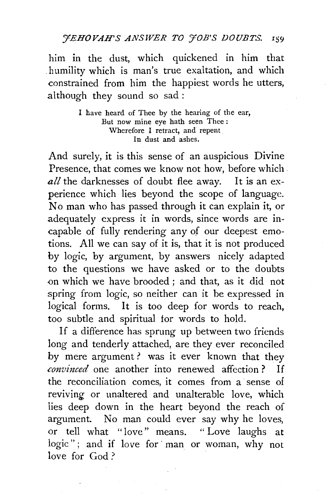*'JEHOVAH'S ANSWER TO YOB'S DOUBTS.* r:;9

him in the dust, which quickened in him that . humility which is man's true exaltation, and which constrained from him the happiest words he utters, although they sound so sad:

> I have heard of Thee by the hearing of the ear, But now mine eye bath seen Thee : Wherefore I retract, and repent In dust and ashes.

And surely, it is this sense of an auspicious Divine Presence, that comes we know not how, before which. all the darknesses of doubt flee away. It is an experience which lies beyond the scope of language. No man who has passed through it can explain it, or adequately express it in words, since words are incapable of fully rendering any of our deepest emotions. All we can say of it is, that it is not produced by logic, by argument, by answers nicely adapted to the questions we have asked or to the doubts on which we have brooded; and that, as it did not spring from logic, so neither can it be expressed in logical forms. It is too deep for words to reach, too subtle and spiritual for words to hold.

If a difference has sprung up between two friends long and tenderly attached, are they ever reconciled by mere argument ? was it ever known that they *convinced* one another into renewed affection? If the reconciliation comes, it comes from a sense of reviving or unaltered and unalterable love, which lies deep down in the heart beyond the reach of argument. No man could ever say why he loves, or tell what "love" means. " Love laughs at logic"; and if love for man or woman, why not love for God?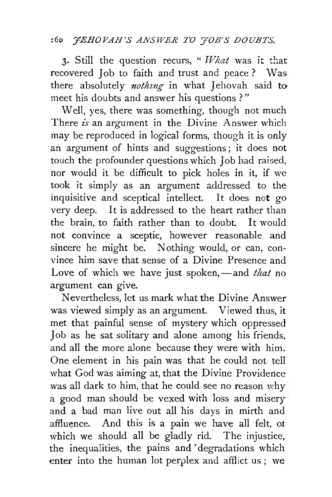## ~6o *7EHOVAH'S ANSWER TO YOB'S DOUBTS.*

3. Still the question recurs, "*What* was it that recovered Job to faith and trust and peace ? Was there absolutely *nothing* in what Jehovah said to meet his doubts and answer his questions?"

Well, yes, there was something, though not much There *is* an argument in the Divine Answer which may be reproduced in logical forms, though it is only an argument of hints and suggestions; it does not touch the profounder questions which Job had raised, nor would it be difficult to pick holes in it, if we took it simply as an argument addressed to the inquisitive and sceptical intellect. It does not go very deep. It is addressed to the heart rather than the brain, to faith rather than to doubt. It would not convince a sceptic, however reasonable and sincere he might be. Nothing would, or can, convince him save that sense of a Divine Presence and Love of which we have just spoken, -and *that* no argument can give.

Nevertheless, let us mark what the Divine Answer was viewed simply as an argument. Viewed thus, it met that painful sense of mystery which oppressed Job as he sat solitary and alone among his friends, and all the more alone because they were with him. One element in his pain was that he could not tell what God was aiming at, that the Divine Providence was all dark to him, that he could see no reason why a good man should be vexed with loss and misery and a bad man live out all his days in mirth and affluence. And this is a pain we have all felt, ot which we should all be gladly rid. The injustice, the inequalities, the pains and degradations which enter into the human lot perplex and afflict us ; we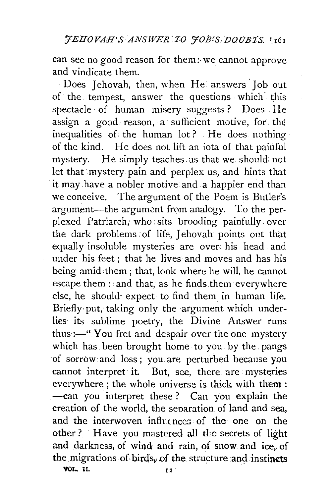can see no good reason for them: we cannot approve and vindicate them.

Does Jehovah, then, when He answers Job out of: the. tempest, answer the questions which- this spectacle· of human misery suggests ? Does . He assign a good reason, a sufficient motive, for the inequalities of the human lot ? . He does nothing of the kind. He does not lift an iota of that painful mystery. He simply teaches. us that we should: not let that mystery pain and perplex us, and hints that it may have a nobler motive and. a happier end than we conceive. The argument of the Poem is Butler's argument-the argument from analogy. To the perplexed Patriarch, who sits brooding painfully over the dark problems of life, Jehovah points out that equally insoluble mysteries are over: his head and under his feet ; that he lives and moves and has his being amid :them ; that, look where he will, he cannot escape them :'and that, as he finds.them everywhere else, he should expect to find them in human life. Briefly put, taking only the argument which underlies its sublime poetry, the Divine Answer runs thus : $-$ ". You fret and despair over the one mystery which has: been brought home to you. by the. pangs of sorrow and loss ; you. are perturbed because you cannot interpret it. But, see, there are mysteries everywhere ; the whole universe is thick with them : -can you interpret these? Can you explain the creation of the world, the seoaration of land and sea, and the interwoven influences of the one on the other? Have you mastered all the secrets of light and darkness, of wind and rain, of snow and ice, of the migrations of birds, of the structure and instincts VGL. 11. 12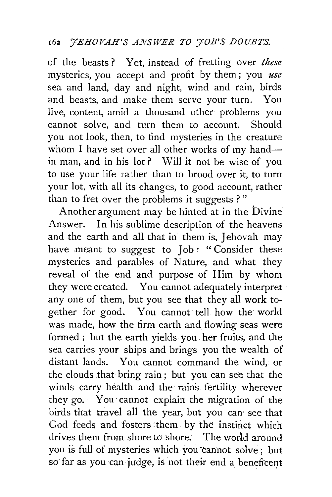of the beasts ? Yet, instead of fretting over *these*  mysteries, you accept and profit by them; you *use*  sea and land, day and night, wind and rain, birds and beasts, and make them serve your turn. You live, content, amid a thousand other problems you cannot solve, and turn them to account. Should you not look, then, to find mysteries in the creature whom I have set over all other works of my handin man, and in his lot? Will it not be wise of you to use your life rather than to brood over it, to turn your lot, with all its changes, to good account, rather than to fret over the problems it suggests ? "

Another argument may be hinted at in the Divine Answer. In his sublime description of the heavens and the earth and all that in them is, Jehovah may have meant to suggest to Job : "Consider these mysteries and parables of Nature, and what they reveal of the end and purpose of Him by whom they were created. You cannot adequately interpret any one of them, but you see that they all work together for good. You cannot tell how the world was made, how the firm earth and flowing seas were formed ; but the earth yields you her fruits, and the sea carries your ships and brings you the wealth of distant lands. You cannot command the wind, or the clouds that bring rain ; but you can see that the winds carry health and the rains fertility wherever they go. You· cannot explain the migration of the birds that travel all the year, but you can see that God feeds and fosters 'them by the instinct which drives them from shore to shore. The world around you is full· of mysteries which you cannot solve; hut so far as you can judge, is not their end a beneficent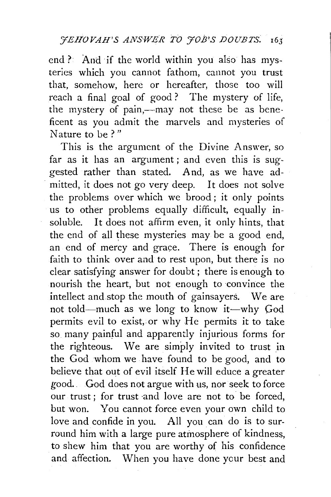end ? And if the world within you also has mysteries which you cannot fathom, cannot you trust that, somehow, here or hereafter, those too will reach a final goal of good? The mystery of life, the mystery of pain,--may not these be as beneficent as you admit the marvels and mysteries of Nature to be?"

This is the argument of the Divine Answer, so far as it has an argument; and even this is suggested rather than stated. And, as we have ad mitted, it does not go very deep. It does not solve the problems over which we brood; it only points us to other problems equally difficult, equally insoluble. It does not affirm even, it only hints, that the end of all these mysteries may be a good end, an end of mercy and grace. There is enough for faith to think over and to rest upon, but there is no clear satisfying answer for doubt ; there is enough to nourish the heart, but not enough to convince the intellect and stop the mouth of gainsayers. We are not told-much as we long to know it-why God permits evil to exist, or why He permits it to take so many painful and apparently injurious forms for the righteous. We are simply invited to trust in the God whom we have found to be good, and to believe that out of evil itself He will educe a greater good.. God does not argue with us, nor seek to force our trust : for trust and love are not to be forced. but won. You cannot force even your own child to love and confide in you. All you can do is to surround him with a large pure atmosphere of kindness, to shew him that you are worthy of his confidence and affection. When you have done your best and